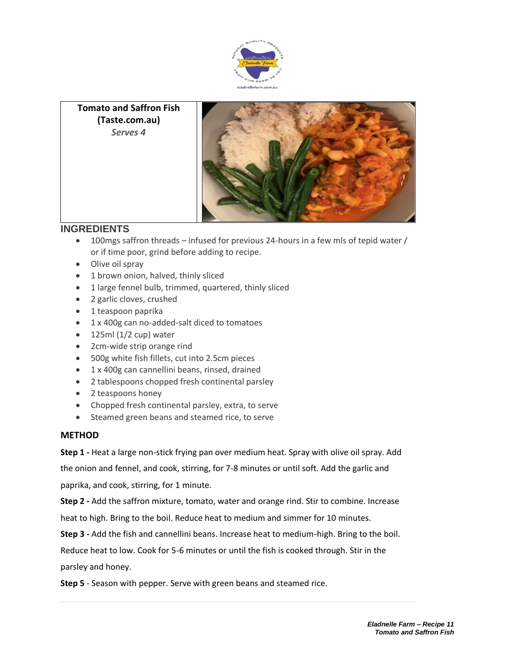



## **INGREDIENTS**

- 100mgs saffron threads infused for previous 24-hours in a few mls of tepid water / or if time poor, grind before adding to recipe.
- Olive oil spray
- 1 brown onion, halved, thinly sliced
- 1 large fennel bulb, trimmed, quartered, thinly sliced
- 2 garlic cloves, crushed
- 1 teaspoon paprika
- 1 x 400g can no-added-salt diced to tomatoes
- $\bullet$  125ml (1/2 cup) water
- 2cm-wide strip orange rind
- 500g white fish fillets, cut into 2.5cm pieces
- 1 x 400g can cannellini beans, rinsed, drained
- 2 tablespoons chopped fresh continental parsley
- 2 teaspoons honey
- Chopped fresh continental parsley, extra, to serve
- Steamed green beans and steamed rice, to serve

## **METHOD**

**Step 1 -** Heat a large non-stick frying pan over medium heat. Spray with olive oil spray. Add

the onion and fennel, and cook, stirring, for 7-8 minutes or until soft. Add the garlic and

paprika, and cook, stirring, for 1 minute.

**Step 2 -** Add the saffron mixture, tomato, water and orange rind. Stir to combine. Increase heat to high. Bring to the boil. Reduce heat to medium and simmer for 10 minutes.

**Step 3 -** Add the fish and cannellini beans. Increase heat to medium-high. Bring to the boil.

Reduce heat to low. Cook for 5-6 minutes or until the fish is cooked through. Stir in the

parsley and honey.

**Step 5** - Season with pepper. Serve with green beans and steamed rice.